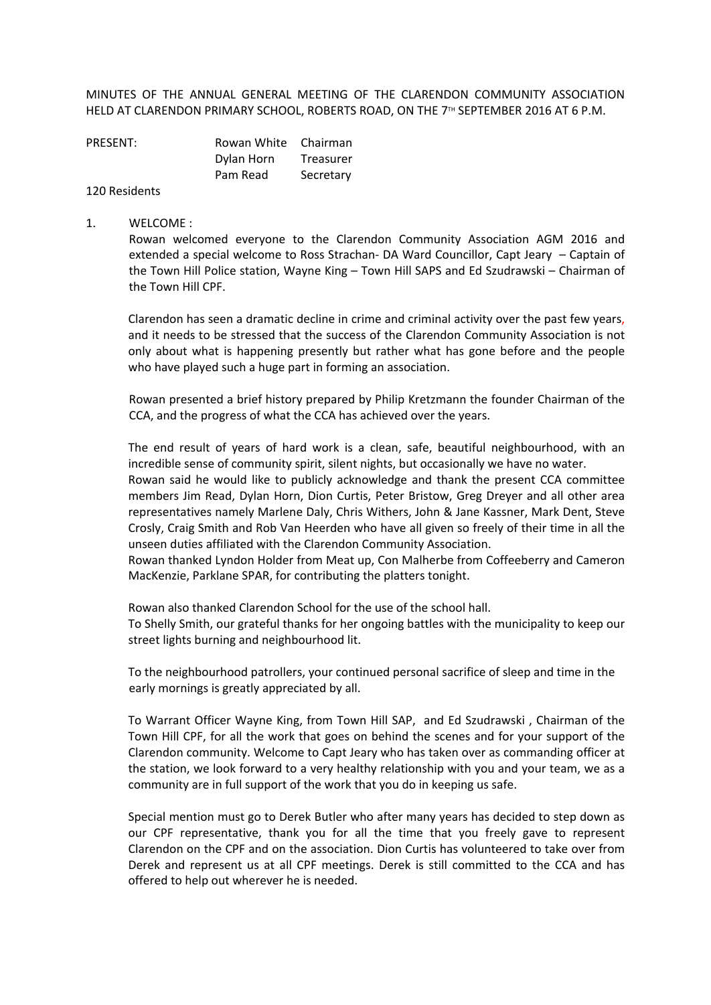MINUTES OF THE ANNUAL GENERAL MEETING OF THE CLARENDON COMMUNITY ASSOCIATION HELD AT CLARENDON PRIMARY SCHOOL, ROBERTS ROAD, ON THE 7<sup>TH</sup> SEPTEMBER 2016 AT 6 P.M.

| PRESENT: | Rowan White Chairman |           |
|----------|----------------------|-----------|
|          | Dylan Horn Treasurer |           |
|          | Pam Read             | Secretary |

120 Residents

#### 1. WELCOME :

Rowan welcomed everyone to the Clarendon Community Association AGM 2016 and extended a special welcome to Ross Strachan- DA Ward Councillor, Capt Jeary – Captain of the Town Hill Police station, Wayne King – Town Hill SAPS and Ed Szudrawski – Chairman of the Town Hill CPF.

Clarendon has seen a dramatic decline in crime and criminal activity over the past few years, and it needs to be stressed that the success of the Clarendon Community Association is not only about what is happening presently but rather what has gone before and the people who have played such a huge part in forming an association.

Rowan presented a brief history prepared by Philip Kretzmann the founder Chairman of the CCA, and the progress of what the CCA has achieved over the years.

The end result of years of hard work is a clean, safe, beautiful neighbourhood, with an incredible sense of community spirit, silent nights, but occasionally we have no water.

Rowan said he would like to publicly acknowledge and thank the present CCA committee members Jim Read, Dylan Horn, Dion Curtis, Peter Bristow, Greg Dreyer and all other area representatives namely Marlene Daly, Chris Withers, John & Jane Kassner, Mark Dent, Steve Crosly, Craig Smith and Rob Van Heerden who have all given so freely of their time in all the unseen duties affiliated with the Clarendon Community Association.

Rowan thanked Lyndon Holder from Meat up, Con Malherbe from Coffeeberry and Cameron MacKenzie, Parklane SPAR, for contributing the platters tonight.

Rowan also thanked Clarendon School for the use of the school hall. To Shelly Smith, our grateful thanks for her ongoing battles with the municipality to keep our street lights burning and neighbourhood lit.

To the neighbourhood patrollers, your continued personal sacrifice of sleep and time in the early mornings is greatly appreciated by all.

To Warrant Officer Wayne King, from Town Hill SAP, and Ed Szudrawski , Chairman of the Town Hill CPF, for all the work that goes on behind the scenes and for your support of the Clarendon community. Welcome to Capt Jeary who has taken over as commanding officer at the station, we look forward to a very healthy relationship with you and your team, we as a community are in full support of the work that you do in keeping us safe.

Special mention must go to Derek Butler who after many years has decided to step down as our CPF representative, thank you for all the time that you freely gave to represent Clarendon on the CPF and on the association. Dion Curtis has volunteered to take over from Derek and represent us at all CPF meetings. Derek is still committed to the CCA and has offered to help out wherever he is needed.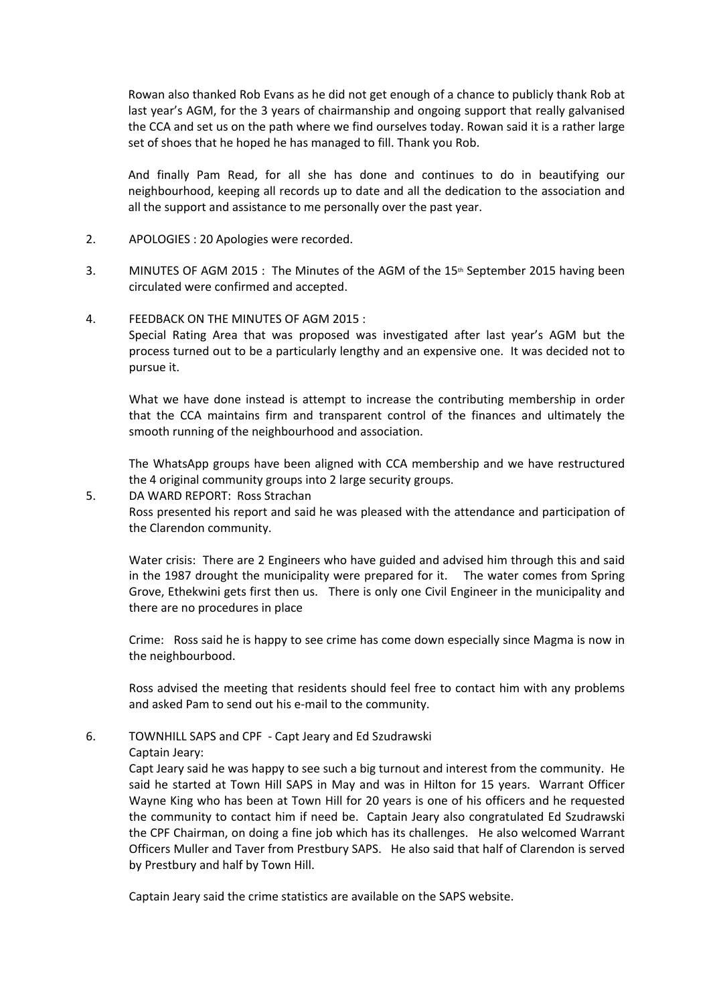Rowan also thanked Rob Evans as he did not get enough of a chance to publicly thank Rob at last year's AGM, for the 3 years of chairmanship and ongoing support that really galvanised the CCA and set us on the path where we find ourselves today. Rowan said it is a rather large set of shoes that he hoped he has managed to fill. Thank you Rob.

And finally Pam Read, for all she has done and continues to do in beautifying our neighbourhood, keeping all records up to date and all the dedication to the association and all the support and assistance to me personally over the past year.

- 2. APOLOGIES : 20 Apologies were recorded.
- 3. MINUTES OF AGM 2015 : The Minutes of the AGM of the 15<sup>th</sup> September 2015 having been circulated were confirmed and accepted.
- 4. FEEDBACK ON THE MINUTES OF AGM 2015 :

Special Rating Area that was proposed was investigated after last year's AGM but the process turned out to be a particularly lengthy and an expensive one. It was decided not to pursue it.

What we have done instead is attempt to increase the contributing membership in order that the CCA maintains firm and transparent control of the finances and ultimately the smooth running of the neighbourhood and association.

The WhatsApp groups have been aligned with CCA membership and we have restructured the 4 original community groups into 2 large security groups.

5. DA WARD REPORT: Ross Strachan

Ross presented his report and said he was pleased with the attendance and participation of the Clarendon community.

Water crisis: There are 2 Engineers who have guided and advised him through this and said in the 1987 drought the municipality were prepared for it. The water comes from Spring Grove, Ethekwini gets first then us. There is only one Civil Engineer in the municipality and there are no procedures in place

Crime: Ross said he is happy to see crime has come down especially since Magma is now in the neighbourbood.

Ross advised the meeting that residents should feel free to contact him with any problems and asked Pam to send out his e-mail to the community.

6. TOWNHILL SAPS and CPF - Capt Jeary and Ed Szudrawski

Captain Jeary:

Capt Jeary said he was happy to see such a big turnout and interest from the community. He said he started at Town Hill SAPS in May and was in Hilton for 15 years. Warrant Officer Wayne King who has been at Town Hill for 20 years is one of his officers and he requested the community to contact him if need be. Captain Jeary also congratulated Ed Szudrawski the CPF Chairman, on doing a fine job which has its challenges. He also welcomed Warrant Officers Muller and Taver from Prestbury SAPS. He also said that half of Clarendon is served by Prestbury and half by Town Hill.

Captain Jeary said the crime statistics are available on the SAPS website.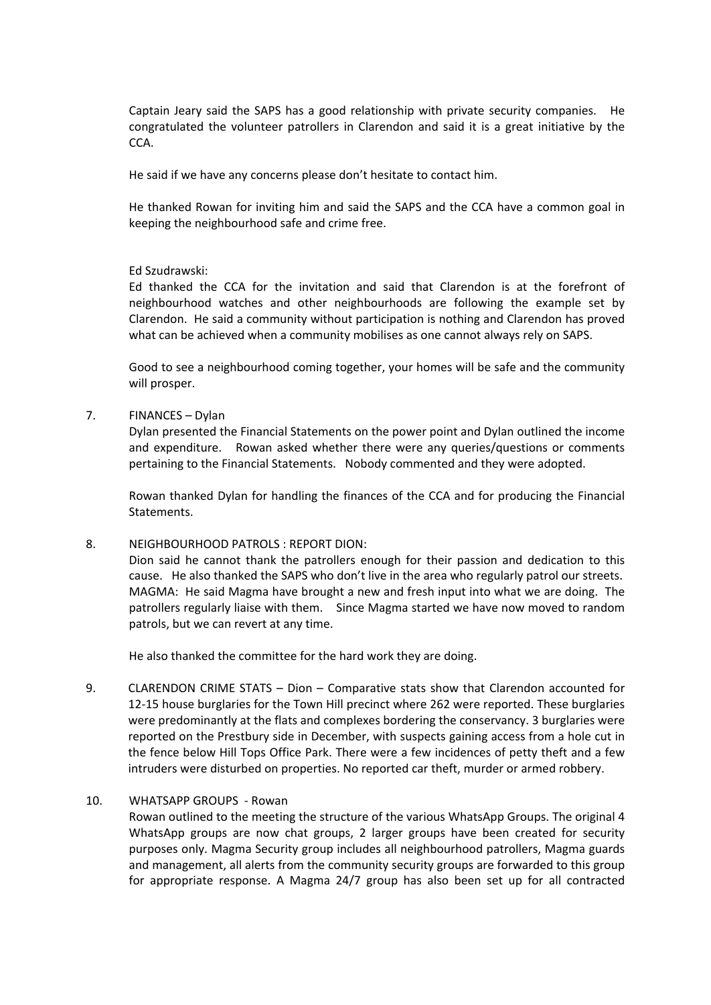Captain Jeary said the SAPS has a good relationship with private security companies. He congratulated the volunteer patrollers in Clarendon and said it is a great initiative by the CCA.

He said if we have any concerns please don't hesitate to contact him.

He thanked Rowan for inviting him and said the SAPS and the CCA have a common goal in keeping the neighbourhood safe and crime free.

### Ed Szudrawski:

Ed thanked the CCA for the invitation and said that Clarendon is at the forefront of neighbourhood watches and other neighbourhoods are following the example set by Clarendon. He said a community without participation is nothing and Clarendon has proved what can be achieved when a community mobilises as one cannot always rely on SAPS.

Good to see a neighbourhood coming together, your homes will be safe and the community will prosper.

7. FINANCES – Dylan

Dylan presented the Financial Statements on the power point and Dylan outlined the income and expenditure. Rowan asked whether there were any queries/questions or comments pertaining to the Financial Statements. Nobody commented and they were adopted.

Rowan thanked Dylan for handling the finances of the CCA and for producing the Financial Statements.

### 8. NEIGHBOURHOOD PATROLS : REPORT DION:

Dion said he cannot thank the patrollers enough for their passion and dedication to this cause. He also thanked the SAPS who don't live in the area who regularly patrol our streets. MAGMA: He said Magma have brought a new and fresh input into what we are doing. The patrollers regularly liaise with them. Since Magma started we have now moved to random patrols, but we can revert at any time.

He also thanked the committee for the hard work they are doing.

9. CLARENDON CRIME STATS – Dion – Comparative stats show that Clarendon accounted for 12-15 house burglaries for the Town Hill precinct where 262 were reported. These burglaries were predominantly at the flats and complexes bordering the conservancy. 3 burglaries were reported on the Prestbury side in December, with suspects gaining access from a hole cut in the fence below Hill Tops Office Park. There were a few incidences of petty theft and a few intruders were disturbed on properties. No reported car theft, murder or armed robbery.

### 10. WHATSAPP GROUPS - Rowan

Rowan outlined to the meeting the structure of the various WhatsApp Groups. The original 4 WhatsApp groups are now chat groups, 2 larger groups have been created for security purposes only. Magma Security group includes all neighbourhood patrollers, Magma guards and management, all alerts from the community security groups are forwarded to this group for appropriate response. A Magma 24/7 group has also been set up for all contracted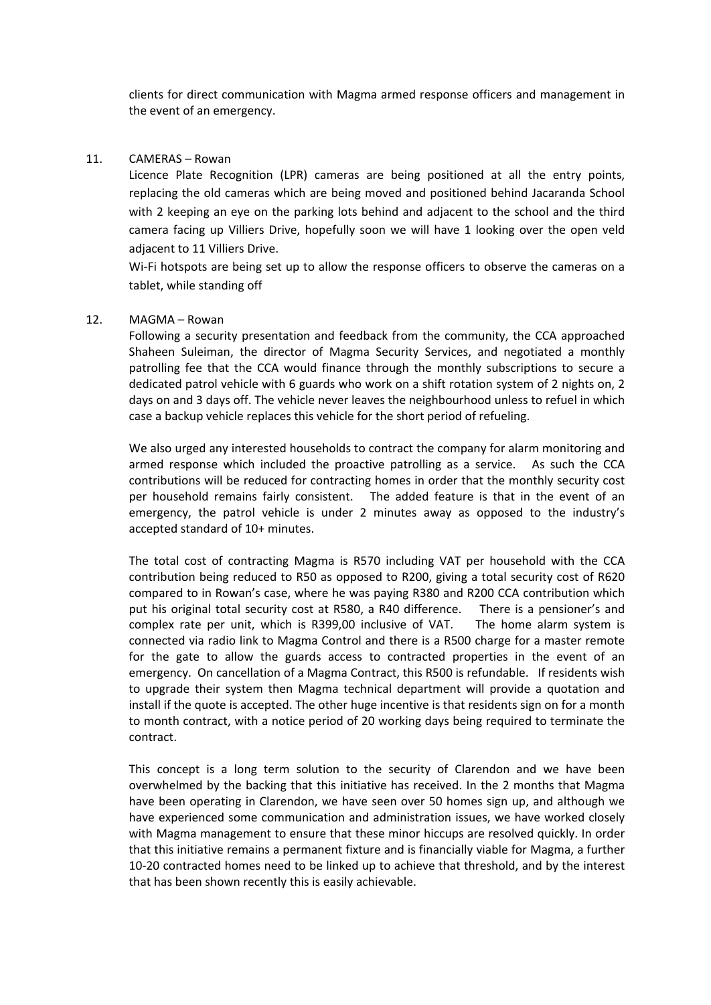clients for direct communication with Magma armed response officers and management in the event of an emergency.

## 11. CAMERAS – Rowan

Licence Plate Recognition (LPR) cameras are being positioned at all the entry points, replacing the old cameras which are being moved and positioned behind Jacaranda School with 2 keeping an eye on the parking lots behind and adjacent to the school and the third camera facing up Villiers Drive, hopefully soon we will have 1 looking over the open veld adjacent to 11 Villiers Drive.

Wi-Fi hotspots are being set up to allow the response officers to observe the cameras on a tablet, while standing off

## 12. MAGMA – Rowan

Following a security presentation and feedback from the community, the CCA approached Shaheen Suleiman, the director of Magma Security Services, and negotiated a monthly patrolling fee that the CCA would finance through the monthly subscriptions to secure a dedicated patrol vehicle with 6 guards who work on a shift rotation system of 2 nights on, 2 days on and 3 days off. The vehicle never leaves the neighbourhood unless to refuel in which case a backup vehicle replaces this vehicle for the short period of refueling.

We also urged any interested households to contract the company for alarm monitoring and armed response which included the proactive patrolling as a service. As such the CCA contributions will be reduced for contracting homes in order that the monthly security cost per household remains fairly consistent. The added feature is that in the event of an emergency, the patrol vehicle is under 2 minutes away as opposed to the industry's accepted standard of 10+ minutes.

The total cost of contracting Magma is R570 including VAT per household with the CCA contribution being reduced to R50 as opposed to R200, giving a total security cost of R620 compared to in Rowan's case, where he was paying R380 and R200 CCA contribution which put his original total security cost at R580, a R40 difference. There is a pensioner's and complex rate per unit, which is R399,00 inclusive of VAT. The home alarm system is connected via radio link to Magma Control and there is a R500 charge for a master remote for the gate to allow the guards access to contracted properties in the event of an emergency. On cancellation of a Magma Contract, this R500 is refundable. If residents wish to upgrade their system then Magma technical department will provide a quotation and install if the quote is accepted. The other huge incentive is that residents sign on for a month to month contract, with a notice period of 20 working days being required to terminate the contract.

This concept is a long term solution to the security of Clarendon and we have been overwhelmed by the backing that this initiative has received. In the 2 months that Magma have been operating in Clarendon, we have seen over 50 homes sign up, and although we have experienced some communication and administration issues, we have worked closely with Magma management to ensure that these minor hiccups are resolved quickly. In order that this initiative remains a permanent fixture and is financially viable for Magma, a further 10-20 contracted homes need to be linked up to achieve that threshold, and by the interest that has been shown recently this is easily achievable.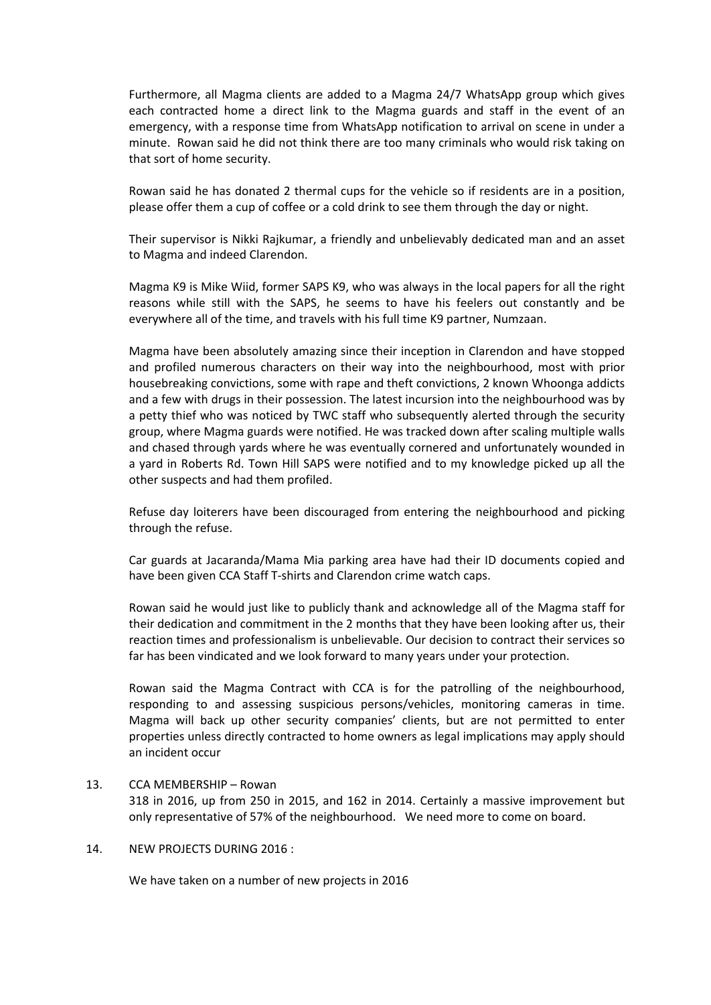Furthermore, all Magma clients are added to a Magma 24/7 WhatsApp group which gives each contracted home a direct link to the Magma guards and staff in the event of an emergency, with a response time from WhatsApp notification to arrival on scene in under a minute. Rowan said he did not think there are too many criminals who would risk taking on that sort of home security.

Rowan said he has donated 2 thermal cups for the vehicle so if residents are in a position, please offer them a cup of coffee or a cold drink to see them through the day or night.

Their supervisor is Nikki Rajkumar, a friendly and unbelievably dedicated man and an asset to Magma and indeed Clarendon.

Magma K9 is Mike Wiid, former SAPS K9, who was always in the local papers for all the right reasons while still with the SAPS, he seems to have his feelers out constantly and be everywhere all of the time, and travels with his full time K9 partner, Numzaan.

Magma have been absolutely amazing since their inception in Clarendon and have stopped and profiled numerous characters on their way into the neighbourhood, most with prior housebreaking convictions, some with rape and theft convictions, 2 known Whoonga addicts and a few with drugs in their possession. The latest incursion into the neighbourhood was by a petty thief who was noticed by TWC staff who subsequently alerted through the security group, where Magma guards were notified. He was tracked down after scaling multiple walls and chased through yards where he was eventually cornered and unfortunately wounded in a yard in Roberts Rd. Town Hill SAPS were notified and to my knowledge picked up all the other suspects and had them profiled.

Refuse day loiterers have been discouraged from entering the neighbourhood and picking through the refuse.

Car guards at Jacaranda/Mama Mia parking area have had their ID documents copied and have been given CCA Staff T-shirts and Clarendon crime watch caps.

Rowan said he would just like to publicly thank and acknowledge all of the Magma staff for their dedication and commitment in the 2 months that they have been looking after us, their reaction times and professionalism is unbelievable. Our decision to contract their services so far has been vindicated and we look forward to many years under your protection.

Rowan said the Magma Contract with CCA is for the patrolling of the neighbourhood, responding to and assessing suspicious persons/vehicles, monitoring cameras in time. Magma will back up other security companies' clients, but are not permitted to enter properties unless directly contracted to home owners as legal implications may apply should an incident occur

# 13. CCA MEMBERSHIP – Rowan 318 in 2016, up from 250 in 2015, and 162 in 2014. Certainly a massive improvement but only representative of 57% of the neighbourhood. We need more to come on board.

### 14. NEW PROJECTS DURING 2016 :

We have taken on a number of new projects in 2016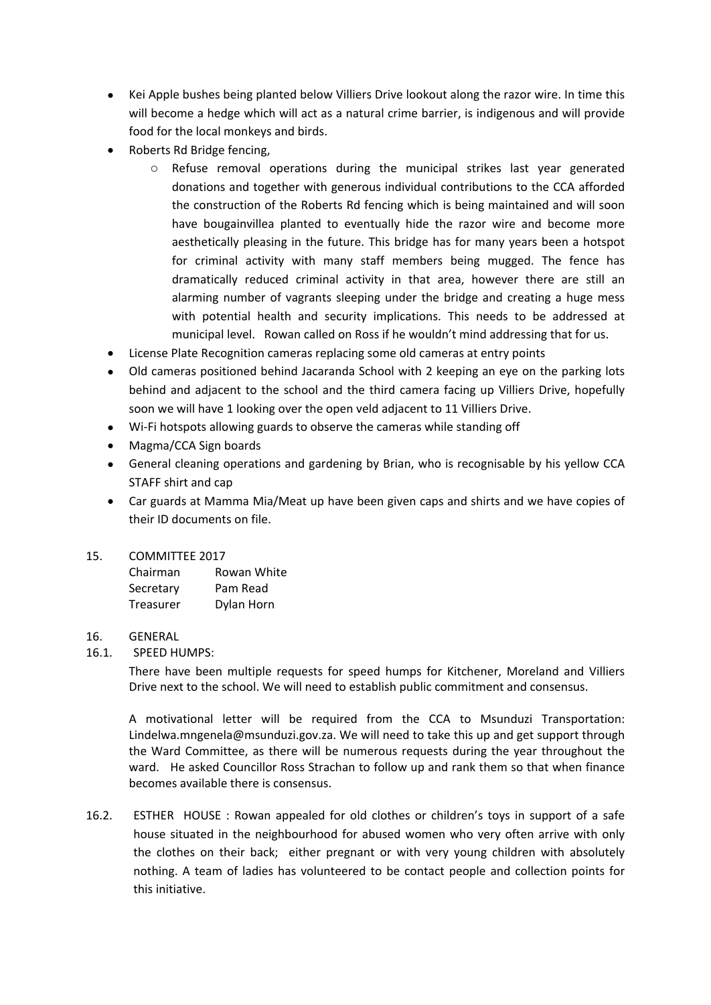- Kei Apple bushes being planted below Villiers Drive lookout along the razor wire. In time this will become a hedge which will act as a natural crime barrier, is indigenous and will provide food for the local monkeys and birds.
- Roberts Rd Bridge fencing,
	- o Refuse removal operations during the municipal strikes last year generated donations and together with generous individual contributions to the CCA afforded the construction of the Roberts Rd fencing which is being maintained and will soon have bougainvillea planted to eventually hide the razor wire and become more aesthetically pleasing in the future. This bridge has for many years been a hotspot for criminal activity with many staff members being mugged. The fence has dramatically reduced criminal activity in that area, however there are still an alarming number of vagrants sleeping under the bridge and creating a huge mess with potential health and security implications. This needs to be addressed at municipal level. Rowan called on Ross if he wouldn't mind addressing that for us.
- License Plate Recognition cameras replacing some old cameras at entry points
- Old cameras positioned behind Jacaranda School with 2 keeping an eye on the parking lots behind and adjacent to the school and the third camera facing up Villiers Drive, hopefully soon we will have 1 looking over the open veld adjacent to 11 Villiers Drive.
- Wi-Fi hotspots allowing guards to observe the cameras while standing off
- Magma/CCA Sign boards
- General cleaning operations and gardening by Brian, who is recognisable by his yellow CCA STAFF shirt and cap
- Car guards at Mamma Mia/Meat up have been given caps and shirts and we have copies of their ID documents on file.

# 15. COMMITTEE 2017

| Chairman  | Rowan White |
|-----------|-------------|
| Secretary | Pam Read    |
| Treasurer | Dylan Horn  |

## 16. GENERAL

# 16.1. SPEED HUMPS:

There have been multiple requests for speed humps for Kitchener, Moreland and Villiers Drive next to the school. We will need to establish public commitment and consensus.

A motivational letter will be required from the CCA to Msunduzi Transportation: Lindelwa.mngenela@msunduzi.gov.za. We will need to take this up and get support through the Ward Committee, as there will be numerous requests during the year throughout the ward. He asked Councillor Ross Strachan to follow up and rank them so that when finance becomes available there is consensus.

16.2. ESTHER HOUSE : Rowan appealed for old clothes or children's toys in support of a safe house situated in the neighbourhood for abused women who very often arrive with only the clothes on their back; either pregnant or with very young children with absolutely nothing. A team of ladies has volunteered to be contact people and collection points for this initiative.